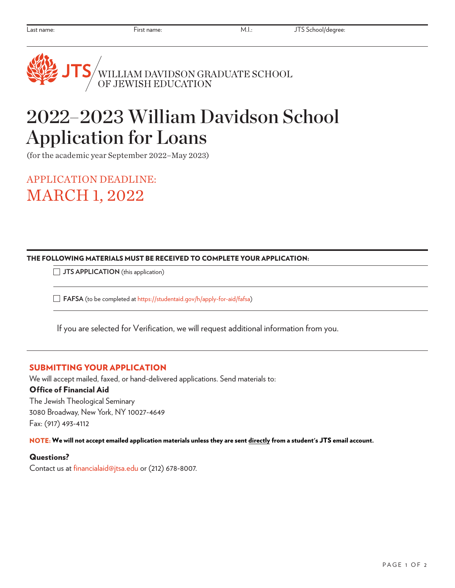# /<br>WILLIAM DAVIDSON GRADUATE SCHOOL<br>OF JEWISH EDUCATION

## 2022–2023 William Davidson School Application for Loans

(for the academic year September 2022–May 2023)

APPLICATION DEADLINE: MARCH 1, 2022

#### THE FOLLOWING MATERIALS MUST BE RECEIVED TO COMPLETE YOUR APPLICATION:

**JTS APPLICATION** (this application)

**FAFSA** (to be completed at [https://studentaid.gov/h/apply-for-aid/fafsa\)](https://studentaid.gov/h/apply-for-aid/fafsa)

If you are selected for Verification, we will request additional information from you.

### SUBMITTING YOUR APPLICATION

We will accept mailed, faxed, or hand-delivered applications. Send materials to: Office of Financial Aid The Jewish Theological Seminary 3080 Broadway, New York, NY 10027-4649

Fax: (917) 493-4112

NOTE: We will not accept emailed application materials unless they are sent directly from a student's JTS email account.

#### Questions?

Contact us at financialaid@jtsa.edu or (212) 678-8007.